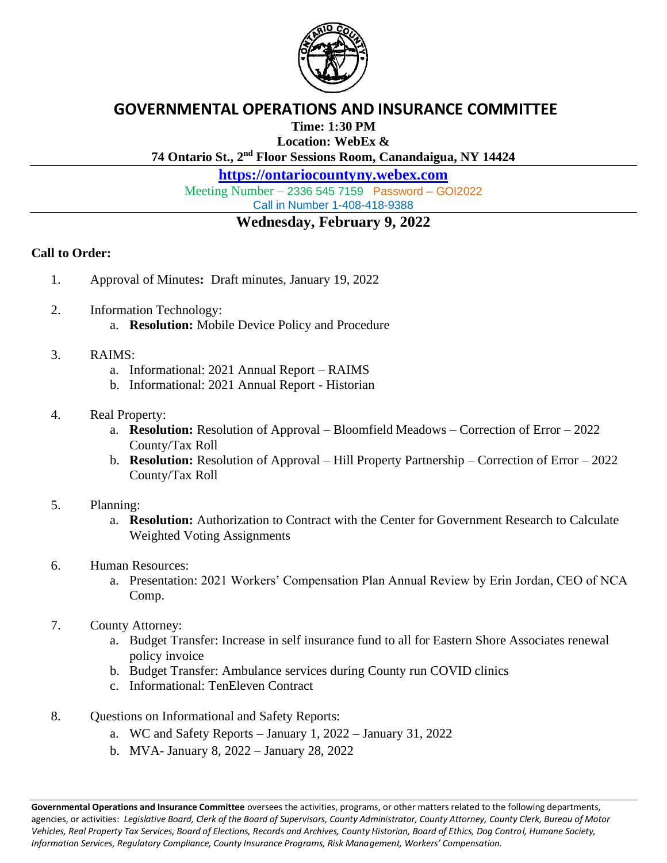

### **GOVERNMENTAL OPERATIONS AND INSURANCE COMMITTEE**

**Time: 1:30 PM**

**Location: WebEx &**

**74 Ontario St., 2 nd Floor Sessions Room, Canandaigua, NY 14424**

**[https://ontariocountyny.webex.com](https://ontariocountyny.webex.com/)**

Meeting Number – 2336 545 7159 Password – GOI2022 Call in Number 1-408-418-9388

## **Wednesday, February 9, 2022**

#### **Call to Order:**

- 1. Approval of Minutes**:** Draft minutes, January 19, 2022
- 2. Information Technology: a. **Resolution:** Mobile Device Policy and Procedure

#### 3. RAIMS:

- a. Informational: 2021 Annual Report RAIMS
- b. Informational: 2021 Annual Report Historian

#### 4. Real Property:

- a. **Resolution:** Resolution of Approval Bloomfield Meadows Correction of Error 2022 County/Tax Roll
- b. **Resolution:** Resolution of Approval Hill Property Partnership Correction of Error 2022 County/Tax Roll

#### 5. Planning:

- a. **Resolution:** Authorization to Contract with the Center for Government Research to Calculate Weighted Voting Assignments
- 6. Human Resources:
	- a. Presentation: 2021 Workers' Compensation Plan Annual Review by Erin Jordan, CEO of NCA Comp.
- 7. County Attorney:
	- a. Budget Transfer: Increase in self insurance fund to all for Eastern Shore Associates renewal policy invoice
	- b. Budget Transfer: Ambulance services during County run COVID clinics
	- c. Informational: TenEleven Contract
- 8. Questions on Informational and Safety Reports:
	- a. WC and Safety Reports January 1, 2022 January 31, 2022
	- b. MVA- January 8, 2022 January 28, 2022

**Governmental Operations and Insurance Committee** oversees the activities, programs, or other matters related to the following departments, agencies, or activities: *Legislative Board, Clerk of the Board of Supervisors, County Administrator, County Attorney, County Clerk, Bureau of Motor Vehicles, Real Property Tax Services, Board of Elections, Records and Archives, County Historian, Board of Ethics, Dog Control, Humane Society, Information Services, Regulatory Compliance, County Insurance Programs, Risk Management, Workers' Compensation.*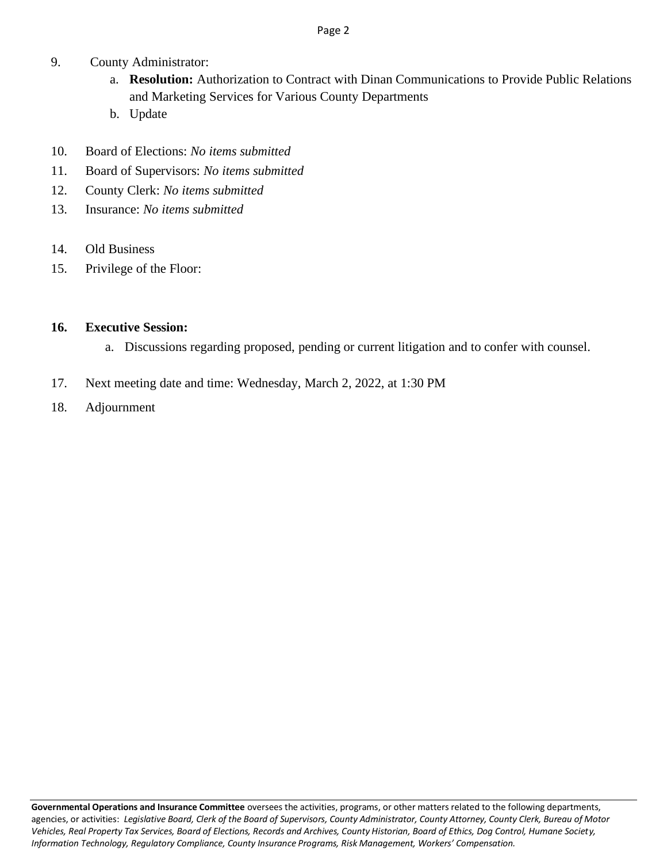#### Page 2

- 9. County Administrator:
	- a. **Resolution:** Authorization to Contract with Dinan Communications to Provide Public Relations and Marketing Services for Various County Departments
	- b. Update
- 10. Board of Elections: *No items submitted*
- 11. Board of Supervisors: *No items submitted*
- 12. County Clerk: *No items submitted*
- 13. Insurance: *No items submitted*
- 14. Old Business
- 15. Privilege of the Floor:

### **16. Executive Session:**

- a. Discussions regarding proposed, pending or current litigation and to confer with counsel.
- 17. Next meeting date and time: Wednesday, March 2, 2022, at 1:30 PM
- 18. Adjournment